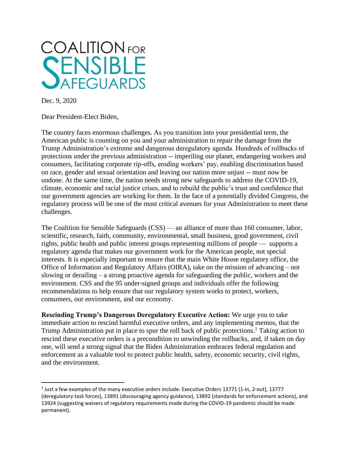

Dec. 9, 2020

Dear President-Elect Biden,

The country faces enormous challenges. As you transition into your presidential term, the American public is counting on you and your administration to repair the damage from the Trump Administration's extreme and dangerous deregulatory agenda. Hundreds of rollbacks of protections under the previous administration -- imperiling our planet, endangering workers and consumers, facilitating corporate rip-offs, eroding workers' pay, enabling discrimination based on race, gender and sexual orientation and leaving our nation more unjust -- must now be undone. At the same time, the nation needs strong new safeguards to address the COVID-19, climate, economic and racial justice crises, and to rebuild the public's trust and confidence that our government agencies are working for them. In the face of a potentially divided Congress, the regulatory process will be one of the most critical avenues for your Administration to meet these challenges.

The Coalition for Sensible Safeguards (CSS) — an alliance of more than 160 consumer, labor, scientific, research, faith, community, environmental, small business, good government, civil rights, public health and public interest groups representing millions of people — supports a regulatory agenda that makes our government work for the American people, not special interests. It is especially important to ensure that the main White House regulatory office, the Office of Information and Regulatory Affairs (OIRA), take on the mission of advancing – not slowing or derailing – a strong proactive agenda for safeguarding the public, workers and the environment. CSS and the 95 under-signed groups and individuals offer the following recommendations to help ensure that our regulatory system works to protect, workers, consumers, our environment, and our economy.

**Rescinding Trump's Dangerous Deregulatory Executive Action:** We urge you to take immediate action to rescind harmful executive orders, and any implementing memos, that the Trump Administration put in place to spur the roll back of public protections.<sup>1</sup> Taking action to rescind these executive orders is a precondition to unwinding the rollbacks, and, if taken on day one, will send a strong signal that the Biden Administration embraces federal regulation and enforcement as a valuable tool to protect public health, safety, economic security, civil rights, and the environment.

 $^1$  Just a few examples of the many executive orders include: Executive Orders 13771 (1-in, 2-out), 13777 (deregulatory task forces), 13891 (discouraging agency guidance), 13892 (standards for enforcement actions), and 13924 (suggesting waivers of regulatory requirements made during the COVID-19 pandemic should be made permanent).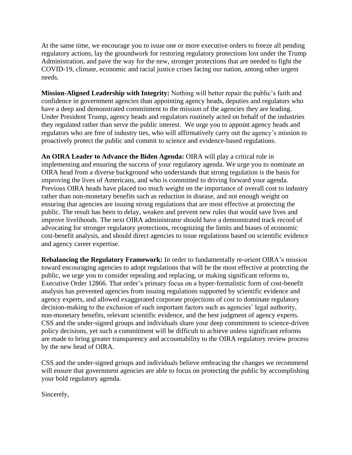At the same time, we encourage you to issue one or more executive orders to freeze all pending regulatory actions, lay the groundwork for restoring regulatory protections lost under the Trump Administration, and pave the way for the new, stronger protections that are needed to fight the COVID-19, climate, economic and racial justice crises facing our nation, among other urgent needs.

**Mission-Aligned Leadership with Integrity:** Nothing will better repair the public's faith and confidence in government agencies than appointing agency heads, deputies and regulators who have a deep and demonstrated commitment to the mission of the agencies they are leading. Under President Trump, agency heads and regulators routinely acted on behalf of the industries they regulated rather than serve the public interest. We urge you to appoint agency heads and regulators who are free of industry ties, who will affirmatively carry out the agency's mission to proactively protect the public and commit to science and evidence-based regulations.

**An OIRA Leader to Advance the Biden Agenda:** OIRA will play a critical role in implementing and ensuring the success of your regulatory agenda. We urge you to nominate an OIRA head from a diverse background who understands that strong regulation is the basis for improving the lives of Americans, and who is committed to driving forward your agenda. Previous OIRA heads have placed too much weight on the importance of overall cost to industry rather than non-monetary benefits such as reduction in disease, and not enough weight on ensuring that agencies are issuing strong regulations that are most effective at protecting the public. The result has been to delay, weaken and prevent new rules that would save lives and improve livelihoods. The next OIRA administrator should have a demonstrated track record of advocating for stronger regulatory protections, recognizing the limits and biases of economic cost-benefit analysis, and should direct agencies to issue regulations based on scientific evidence and agency career expertise.

**Rebalancing the Regulatory Framework:** In order to fundamentally re-orient OIRA's mission toward encouraging agencies to adopt regulations that will be the most effective at protecting the public, we urge you to consider repealing and replacing, or making significant reforms to, Executive Order 12866. That order's primary focus on a hyper-formalistic form of cost-benefit analysis has prevented agencies from issuing regulations supported by scientific evidence and agency experts, and allowed exaggerated corporate projections of cost to dominate regulatory decision-making to the exclusion of such important factors such as agencies' legal authority, non-monetary benefits, relevant scientific evidence, and the best judgment of agency experts. CSS and the under-signed groups and individuals share your deep commitment to science-driven policy decisions, yet such a commitment will be difficult to achieve unless significant reforms are made to bring greater transparency and accountability to the OIRA regulatory review process by the new head of OIRA.

CSS and the under-signed groups and individuals believe embracing the changes we recommend will ensure that government agencies are able to focus on protecting the public by accomplishing your bold regulatory agenda.

Sincerely,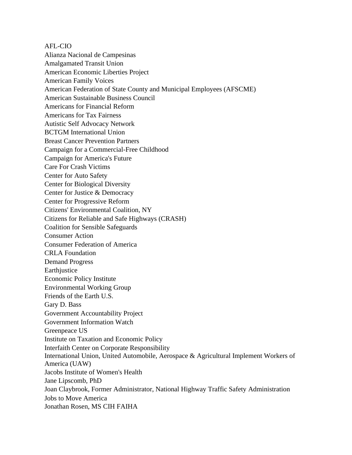AFL-CIO

Alianza Nacional de Campesinas Amalgamated Transit Union American Economic Liberties Project American Family Voices American Federation of State County and Municipal Employees (AFSCME) American Sustainable Business Council Americans for Financial Reform Americans for Tax Fairness Autistic Self Advocacy Network BCTGM International Union Breast Cancer Prevention Partners Campaign for a Commercial-Free Childhood Campaign for America's Future Care For Crash Victims Center for Auto Safety Center for Biological Diversity Center for Justice & Democracy Center for Progressive Reform Citizens' Environmental Coalition, NY Citizens for Reliable and Safe Highways (CRASH) Coalition for Sensible Safeguards Consumer Action Consumer Federation of America CRLA Foundation Demand Progress Earthjustice Economic Policy Institute Environmental Working Group Friends of the Earth U.S. Gary D. Bass Government Accountability Project Government Information Watch Greenpeace US Institute on Taxation and Economic Policy Interfaith Center on Corporate Responsibility International Union, United Automobile, Aerospace & Agricultural Implement Workers of America (UAW) Jacobs Institute of Women's Health Jane Lipscomb, PhD Joan Claybrook, Former Administrator, National Highway Traffic Safety Administration Jobs to Move America Jonathan Rosen, MS CIH FAIHA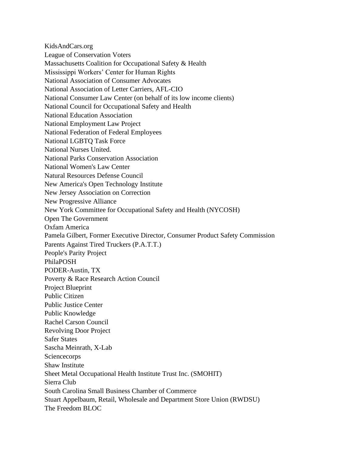KidsAndCars.org League of Conservation Voters Massachusetts Coalition for Occupational Safety & Health Mississippi Workers' Center for Human Rights National Association of Consumer Advocates National Association of Letter Carriers, AFL-CIO National Consumer Law Center (on behalf of its low income clients) National Council for Occupational Safety and Health National Education Association National Employment Law Project National Federation of Federal Employees National LGBTQ Task Force National Nurses United. National Parks Conservation Association National Women's Law Center Natural Resources Defense Council New America's Open Technology Institute New Jersey Association on Correction New Progressive Alliance New York Committee for Occupational Safety and Health (NYCOSH) Open The Government Oxfam America Pamela Gilbert, Former Executive Director, Consumer Product Safety Commission Parents Against Tired Truckers (P.A.T.T.) People's Parity Project PhilaPOSH PODER-Austin, TX Poverty & Race Research Action Council Project Blueprint Public Citizen Public Justice Center Public Knowledge Rachel Carson Council Revolving Door Project Safer States Sascha Meinrath, X-Lab **Sciencecorps** Shaw Institute Sheet Metal Occupational Health Institute Trust Inc. (SMOHIT) Sierra Club South Carolina Small Business Chamber of Commerce Stuart Appelbaum, Retail, Wholesale and Department Store Union (RWDSU) The Freedom BLOC